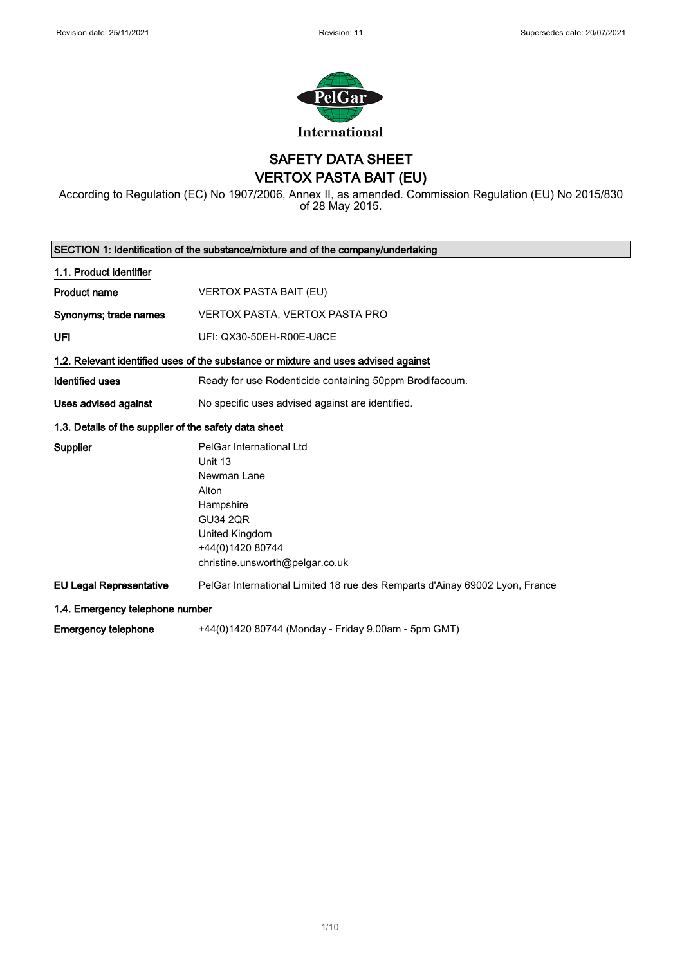

SAFETY DATA SHEET VERTOX PASTA BAIT (EU)

According to Regulation (EC) No 1907/2006, Annex II, as amended. Commission Regulation (EU) No 2015/830 of 28 May 2015.

|                                                       | SECTION 1: Identification of the substance/mixture and of the company/undertaking  |
|-------------------------------------------------------|------------------------------------------------------------------------------------|
| 1.1. Product identifier                               |                                                                                    |
| <b>Product name</b>                                   | <b>VERTOX PASTA BAIT (EU)</b>                                                      |
| Synonyms; trade names                                 | VERTOX PASTA, VERTOX PASTA PRO                                                     |
| UFI                                                   | UFI: QX30-50EH-R00E-U8CE                                                           |
|                                                       | 1.2. Relevant identified uses of the substance or mixture and uses advised against |
| <b>Identified uses</b>                                | Ready for use Rodenticide containing 50ppm Brodifacoum.                            |
| Uses advised against                                  | No specific uses advised against are identified.                                   |
| 1.3. Details of the supplier of the safety data sheet |                                                                                    |
| Supplier                                              | PelGar International Ltd                                                           |
|                                                       | Unit 13                                                                            |
|                                                       | Newman Lane                                                                        |
|                                                       | Alton                                                                              |
|                                                       | Hampshire                                                                          |
|                                                       | <b>GU34 2QR</b>                                                                    |
|                                                       | United Kingdom                                                                     |
|                                                       | +44(0)1420 80744                                                                   |
|                                                       | christine.unsworth@pelgar.co.uk                                                    |
| <b>EU Legal Representative</b>                        | PelGar International Limited 18 rue des Remparts d'Ainay 69002 Lyon, France        |
| 1.4. Emergency telephone number                       |                                                                                    |
| <b>Emergency telephone</b>                            | +44(0)1420 80744 (Monday - Friday 9.00am - 5pm GMT)                                |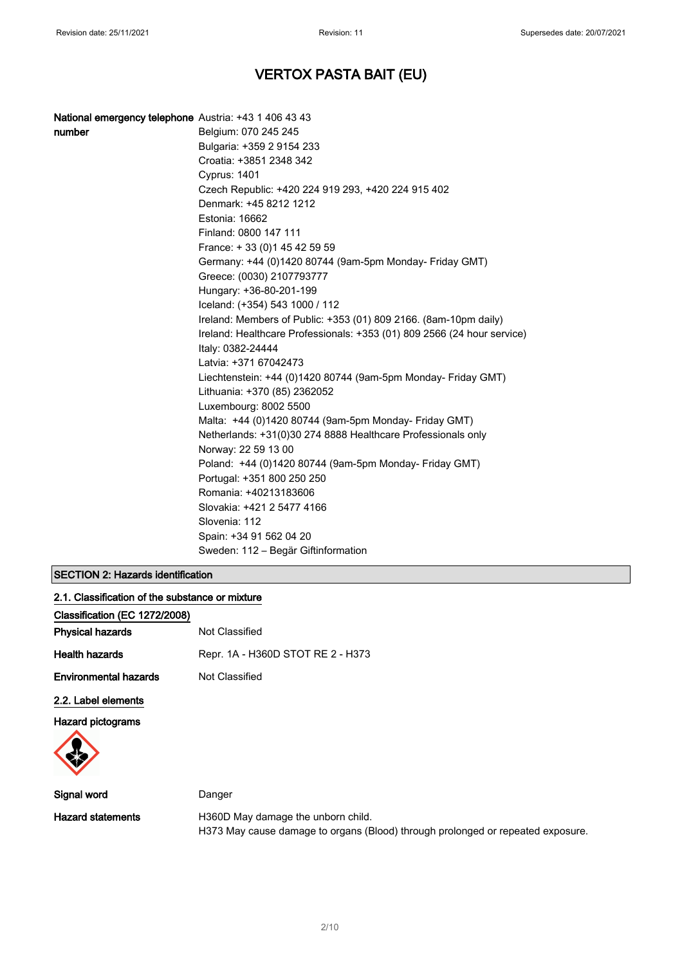| National emergency telephone Austria: +43 1 406 43 43 |                                                                         |
|-------------------------------------------------------|-------------------------------------------------------------------------|
| number                                                | Belgium: 070 245 245                                                    |
|                                                       | Bulgaria: +359 2 9154 233                                               |
|                                                       | Croatia: +3851 2348 342                                                 |
|                                                       | <b>Cyprus: 1401</b>                                                     |
|                                                       | Czech Republic: +420 224 919 293, +420 224 915 402                      |
|                                                       | Denmark: +45 8212 1212                                                  |
|                                                       | Estonia: 16662                                                          |
|                                                       | Finland: 0800 147 111                                                   |
|                                                       | France: +33 (0) 145 42 59 59                                            |
|                                                       | Germany: +44 (0)1420 80744 (9am-5pm Monday- Friday GMT)                 |
|                                                       | Greece: (0030) 2107793777                                               |
|                                                       | Hungary: +36-80-201-199                                                 |
|                                                       | Iceland: (+354) 543 1000 / 112                                          |
|                                                       | Ireland: Members of Public: +353 (01) 809 2166. (8am-10pm daily)        |
|                                                       | Ireland: Healthcare Professionals: +353 (01) 809 2566 (24 hour service) |
|                                                       | Italy: 0382-24444                                                       |
|                                                       | Latvia: +371 67042473                                                   |
|                                                       | Liechtenstein: +44 (0)1420 80744 (9am-5pm Monday- Friday GMT)           |
|                                                       | Lithuania: +370 (85) 2362052                                            |
|                                                       | Luxembourg: 8002 5500                                                   |
|                                                       | Malta: +44 (0)1420 80744 (9am-5pm Monday- Friday GMT)                   |
|                                                       | Netherlands: +31(0)30 274 8888 Healthcare Professionals only            |
|                                                       | Norway: 22 59 13 00                                                     |
|                                                       | Poland: +44 (0)1420 80744 (9am-5pm Monday- Friday GMT)                  |
|                                                       | Portugal: +351 800 250 250                                              |
|                                                       | Romania: +40213183606                                                   |
|                                                       | Slovakia: +421 2 5477 4166                                              |
|                                                       | Slovenia: 112                                                           |
|                                                       | Spain: +34 91 562 04 20                                                 |
|                                                       | Sweden: 112 – Begär Giftinformation                                     |

### SECTION 2: Hazards identification

| 2.1. Classification of the substance or mixture |                                   |
|-------------------------------------------------|-----------------------------------|
| Classification (EC 1272/2008)                   |                                   |
| <b>Physical hazards</b>                         | Not Classified                    |
| <b>Health hazards</b>                           | Repr. 1A - H360D STOT RE 2 - H373 |
| <b>Environmental hazards</b>                    | Not Classified                    |
| 2.2. Label elements                             |                                   |
| <b>Hazard pictograms</b>                        |                                   |
|                                                 |                                   |
| --                                              |                                   |

| Signal word       | Danger                                                                          |
|-------------------|---------------------------------------------------------------------------------|
| Hazard statements | H360D May damage the unborn child.                                              |
|                   | H373 May cause damage to organs (Blood) through prolonged or repeated exposure. |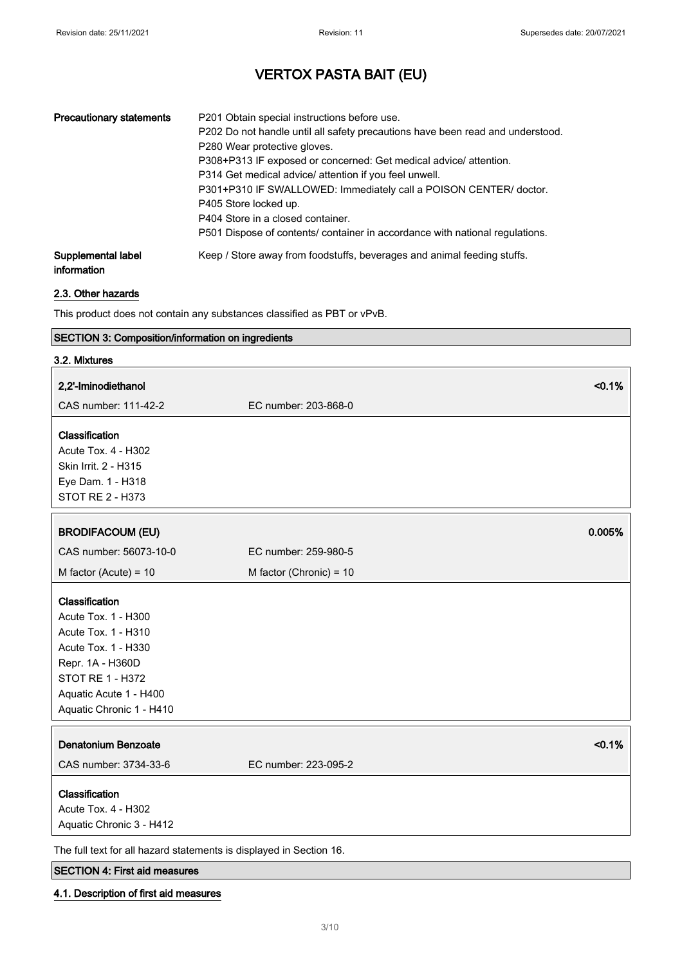| <b>Precautionary statements</b>   | P201 Obtain special instructions before use.<br>P202 Do not handle until all safety precautions have been read and understood.<br>P280 Wear protective gloves.<br>P308+P313 IF exposed or concerned: Get medical advice/attention.<br>P314 Get medical advice/ attention if you feel unwell.<br>P301+P310 IF SWALLOWED: Immediately call a POISON CENTER/ doctor.<br>P405 Store locked up.<br>P404 Store in a closed container.<br>P501 Dispose of contents/ container in accordance with national regulations. |
|-----------------------------------|-----------------------------------------------------------------------------------------------------------------------------------------------------------------------------------------------------------------------------------------------------------------------------------------------------------------------------------------------------------------------------------------------------------------------------------------------------------------------------------------------------------------|
| Supplemental label<br>information | Keep / Store away from foodstuffs, beverages and animal feeding stuffs.                                                                                                                                                                                                                                                                                                                                                                                                                                         |

#### 2.3. Other hazards

This product does not contain any substances classified as PBT or vPvB.

### SECTION 3: Composition/information on ingredients

| 3.2. Mixtures                                                                                                                                                                     |                                |
|-----------------------------------------------------------------------------------------------------------------------------------------------------------------------------------|--------------------------------|
| 2,2'-Iminodiethanol                                                                                                                                                               | < 0.1%                         |
| CAS number: 111-42-2                                                                                                                                                              | EC number: 203-868-0           |
| Classification<br><b>Acute Tox. 4 - H302</b><br>Skin Irrit. 2 - H315<br>Eye Dam. 1 - H318<br>STOT RE 2 - H373                                                                     |                                |
| <b>BRODIFACOUM (EU)</b>                                                                                                                                                           | 0.005%                         |
| CAS number: 56073-10-0                                                                                                                                                            | EC number: 259-980-5           |
| M factor (Acute) = $10$                                                                                                                                                           | M factor (Chronic) = $10$      |
| Classification<br>Acute Tox. 1 - H300<br>Acute Tox. 1 - H310<br>Acute Tox. 1 - H330<br>Repr. 1A - H360D<br>STOT RE 1 - H372<br>Aquatic Acute 1 - H400<br>Aquatic Chronic 1 - H410 |                                |
| <b>Denatonium Benzoate</b><br>CAS number: 3734-33-6                                                                                                                               | < 0.1%<br>EC number: 223-095-2 |
| Classification<br>Acute Tox. 4 - H302<br>Aquatic Chronic 3 - H412                                                                                                                 |                                |
| The full text for all hazard statements is displayed in Section 16.                                                                                                               |                                |

#### SECTION 4: First aid measures

#### 4.1. Description of first aid measures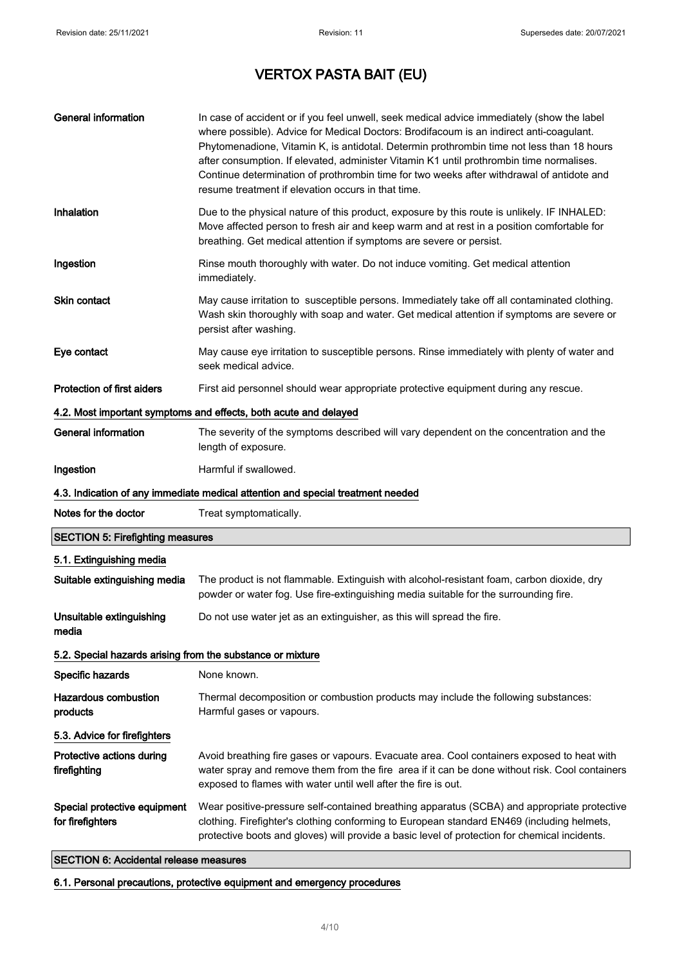| <b>General information</b>                                 | In case of accident or if you feel unwell, seek medical advice immediately (show the label<br>where possible). Advice for Medical Doctors: Brodifacoum is an indirect anti-coagulant.<br>Phytomenadione, Vitamin K, is antidotal. Determin prothrombin time not less than 18 hours<br>after consumption. If elevated, administer Vitamin K1 until prothrombin time normalises.<br>Continue determination of prothrombin time for two weeks after withdrawal of antidote and<br>resume treatment if elevation occurs in that time. |
|------------------------------------------------------------|-----------------------------------------------------------------------------------------------------------------------------------------------------------------------------------------------------------------------------------------------------------------------------------------------------------------------------------------------------------------------------------------------------------------------------------------------------------------------------------------------------------------------------------|
| Inhalation                                                 | Due to the physical nature of this product, exposure by this route is unlikely. IF INHALED:<br>Move affected person to fresh air and keep warm and at rest in a position comfortable for<br>breathing. Get medical attention if symptoms are severe or persist.                                                                                                                                                                                                                                                                   |
| Ingestion                                                  | Rinse mouth thoroughly with water. Do not induce vomiting. Get medical attention<br>immediately.                                                                                                                                                                                                                                                                                                                                                                                                                                  |
| <b>Skin contact</b>                                        | May cause irritation to susceptible persons. Immediately take off all contaminated clothing.<br>Wash skin thoroughly with soap and water. Get medical attention if symptoms are severe or<br>persist after washing.                                                                                                                                                                                                                                                                                                               |
| Eye contact                                                | May cause eye irritation to susceptible persons. Rinse immediately with plenty of water and<br>seek medical advice.                                                                                                                                                                                                                                                                                                                                                                                                               |
| <b>Protection of first aiders</b>                          | First aid personnel should wear appropriate protective equipment during any rescue.                                                                                                                                                                                                                                                                                                                                                                                                                                               |
|                                                            | 4.2. Most important symptoms and effects, both acute and delayed                                                                                                                                                                                                                                                                                                                                                                                                                                                                  |
| <b>General information</b>                                 | The severity of the symptoms described will vary dependent on the concentration and the<br>length of exposure.                                                                                                                                                                                                                                                                                                                                                                                                                    |
| Ingestion                                                  | Harmful if swallowed.                                                                                                                                                                                                                                                                                                                                                                                                                                                                                                             |
|                                                            | 4.3. Indication of any immediate medical attention and special treatment needed                                                                                                                                                                                                                                                                                                                                                                                                                                                   |
| Notes for the doctor                                       | Treat symptomatically.                                                                                                                                                                                                                                                                                                                                                                                                                                                                                                            |
| <b>SECTION 5: Firefighting measures</b>                    |                                                                                                                                                                                                                                                                                                                                                                                                                                                                                                                                   |
| 5.1. Extinguishing media                                   |                                                                                                                                                                                                                                                                                                                                                                                                                                                                                                                                   |
| Suitable extinguishing media                               | The product is not flammable. Extinguish with alcohol-resistant foam, carbon dioxide, dry<br>powder or water fog. Use fire-extinguishing media suitable for the surrounding fire.                                                                                                                                                                                                                                                                                                                                                 |
| Unsuitable extinguishing<br>media                          | Do not use water jet as an extinguisher, as this will spread the fire.                                                                                                                                                                                                                                                                                                                                                                                                                                                            |
| 5.2. Special hazards arising from the substance or mixture |                                                                                                                                                                                                                                                                                                                                                                                                                                                                                                                                   |
| Specific hazards                                           | None known.                                                                                                                                                                                                                                                                                                                                                                                                                                                                                                                       |
| <b>Hazardous combustion</b><br>products                    | Thermal decomposition or combustion products may include the following substances:<br>Harmful gases or vapours.                                                                                                                                                                                                                                                                                                                                                                                                                   |
| 5.3. Advice for firefighters                               |                                                                                                                                                                                                                                                                                                                                                                                                                                                                                                                                   |
| Protective actions during<br>firefighting                  | Avoid breathing fire gases or vapours. Evacuate area. Cool containers exposed to heat with<br>water spray and remove them from the fire area if it can be done without risk. Cool containers<br>exposed to flames with water until well after the fire is out.                                                                                                                                                                                                                                                                    |
| Special protective equipment<br>for firefighters           | Wear positive-pressure self-contained breathing apparatus (SCBA) and appropriate protective<br>clothing. Firefighter's clothing conforming to European standard EN469 (including helmets,<br>protective boots and gloves) will provide a basic level of protection for chemical incidents.                                                                                                                                                                                                                                        |

SECTION 6: Accidental release measures

6.1. Personal precautions, protective equipment and emergency procedures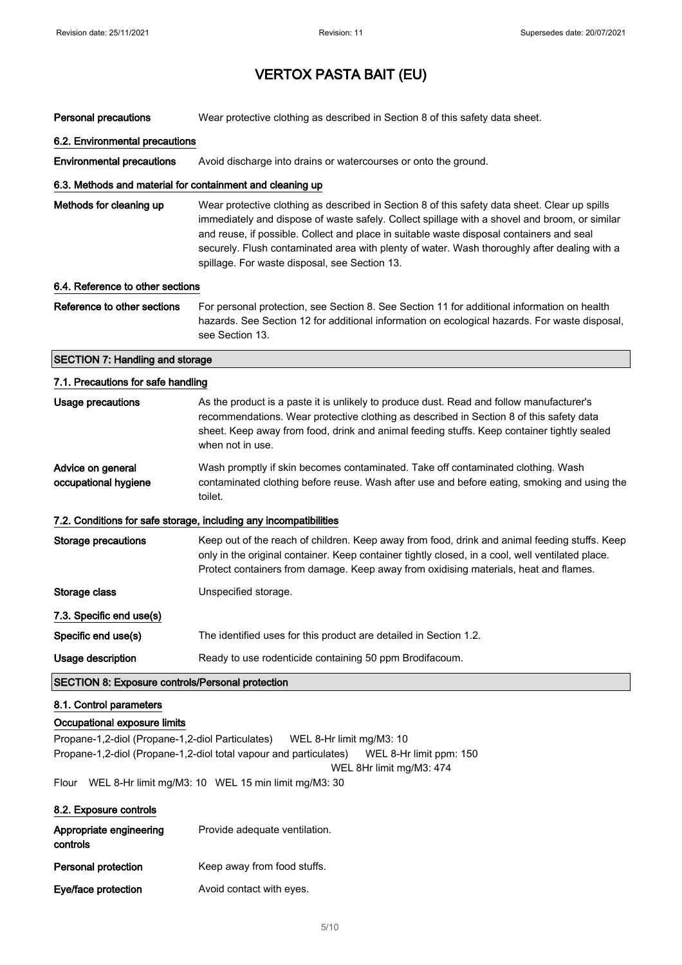| <b>Personal precautions</b>                               | Wear protective clothing as described in Section 8 of this safety data sheet.                                                                                                                                                                                                                                                                                                                                                               |
|-----------------------------------------------------------|---------------------------------------------------------------------------------------------------------------------------------------------------------------------------------------------------------------------------------------------------------------------------------------------------------------------------------------------------------------------------------------------------------------------------------------------|
| 6.2. Environmental precautions                            |                                                                                                                                                                                                                                                                                                                                                                                                                                             |
| <b>Environmental precautions</b>                          | Avoid discharge into drains or watercourses or onto the ground.                                                                                                                                                                                                                                                                                                                                                                             |
| 6.3. Methods and material for containment and cleaning up |                                                                                                                                                                                                                                                                                                                                                                                                                                             |
| Methods for cleaning up                                   | Wear protective clothing as described in Section 8 of this safety data sheet. Clear up spills<br>immediately and dispose of waste safely. Collect spillage with a shovel and broom, or similar<br>and reuse, if possible. Collect and place in suitable waste disposal containers and seal<br>securely. Flush contaminated area with plenty of water. Wash thoroughly after dealing with a<br>spillage. For waste disposal, see Section 13. |
| 6.4. Reference to other sections                          |                                                                                                                                                                                                                                                                                                                                                                                                                                             |
| Reference to other sections                               | For personal protection, see Section 8. See Section 11 for additional information on health<br>hazards. See Section 12 for additional information on ecological hazards. For waste disposal,<br>see Section 13.                                                                                                                                                                                                                             |
| <b>SECTION 7: Handling and storage</b>                    |                                                                                                                                                                                                                                                                                                                                                                                                                                             |
| 7.1. Precautions for safe handling                        |                                                                                                                                                                                                                                                                                                                                                                                                                                             |
| <b>Usage precautions</b>                                  | As the product is a paste it is unlikely to produce dust. Read and follow manufacturer's<br>recommendations. Wear protective clothing as described in Section 8 of this safety data<br>sheet. Keep away from food, drink and animal feeding stuffs. Keep container tightly sealed<br>when not in use.                                                                                                                                       |
| Advice on general<br>occupational hygiene                 | Wash promptly if skin becomes contaminated. Take off contaminated clothing. Wash<br>contaminated clothing before reuse. Wash after use and before eating, smoking and using the<br>toilet.                                                                                                                                                                                                                                                  |
|                                                           | 7.2. Conditions for safe storage, including any incompatibilities                                                                                                                                                                                                                                                                                                                                                                           |
| <b>Storage precautions</b>                                | Keep out of the reach of children. Keep away from food, drink and animal feeding stuffs. Keep<br>only in the original container. Keep container tightly closed, in a cool, well ventilated place.<br>Protect containers from damage. Keep away from oxidising materials, heat and flames.                                                                                                                                                   |
| Storage class                                             | Unspecified storage.                                                                                                                                                                                                                                                                                                                                                                                                                        |
| 7.3. Specific end use(s)                                  |                                                                                                                                                                                                                                                                                                                                                                                                                                             |
| Specific end use(s)                                       | The identified uses for this product are detailed in Section 1.2.                                                                                                                                                                                                                                                                                                                                                                           |
| Usage description                                         | Ready to use rodenticide containing 50 ppm Brodifacoum.                                                                                                                                                                                                                                                                                                                                                                                     |
| <b>SECTION 8: Exposure controls/Personal protection</b>   |                                                                                                                                                                                                                                                                                                                                                                                                                                             |
| 8.1. Control parameters                                   |                                                                                                                                                                                                                                                                                                                                                                                                                                             |
| Occupational exposure limits                              |                                                                                                                                                                                                                                                                                                                                                                                                                                             |
| Propane-1,2-diol (Propane-1,2-diol Particulates)          | WEL 8-Hr limit mg/M3: 10<br>Propane-1,2-diol (Propane-1,2-diol total vapour and particulates)<br>WEL 8-Hr limit ppm: 150<br>WEL 8Hr limit mg/M3: 474                                                                                                                                                                                                                                                                                        |
| Flour                                                     | WEL 8-Hr limit mg/M3: 10 WEL 15 min limit mg/M3: 30                                                                                                                                                                                                                                                                                                                                                                                         |
| 8.2. Exposure controls                                    |                                                                                                                                                                                                                                                                                                                                                                                                                                             |
| Appropriate engineering<br>controls                       | Provide adequate ventilation.                                                                                                                                                                                                                                                                                                                                                                                                               |

Personal protection Keep away from food stuffs.

Eye/face protection **Avoid contact with eyes.**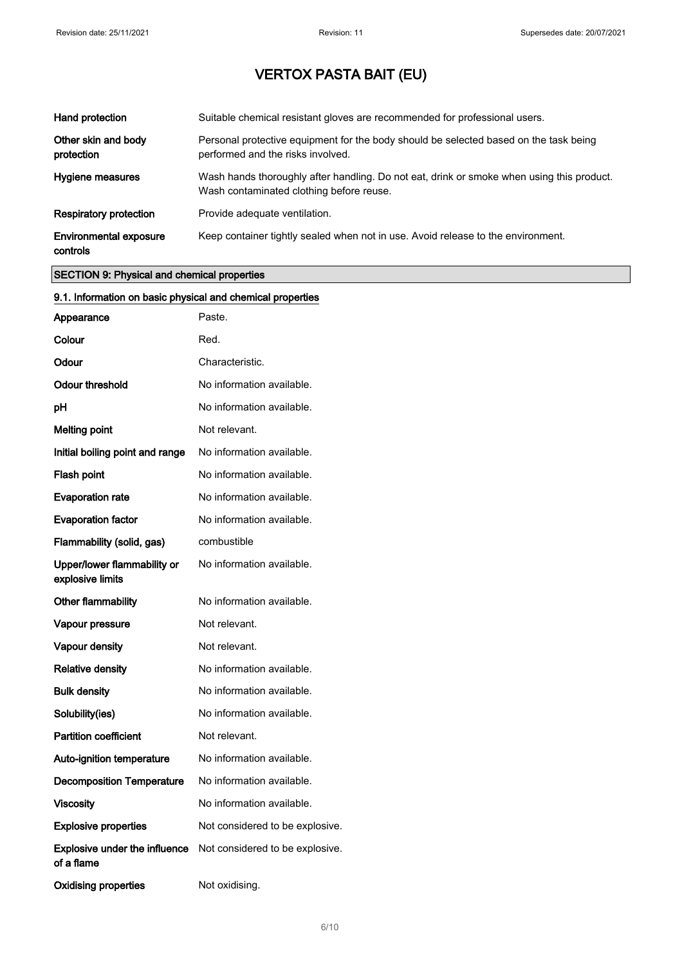| Hand protection                           | Suitable chemical resistant gloves are recommended for professional users.                                                            |
|-------------------------------------------|---------------------------------------------------------------------------------------------------------------------------------------|
| Other skin and body<br>protection         | Personal protective equipment for the body should be selected based on the task being<br>performed and the risks involved.            |
| Hygiene measures                          | Wash hands thoroughly after handling. Do not eat, drink or smoke when using this product.<br>Wash contaminated clothing before reuse. |
| <b>Respiratory protection</b>             | Provide adequate ventilation.                                                                                                         |
| <b>Environmental exposure</b><br>controls | Keep container tightly sealed when not in use. Avoid release to the environment.                                                      |

#### SECTION 9: Physical and chemical properties

| 9.1. Information on basic physical and chemical properties |                                 |
|------------------------------------------------------------|---------------------------------|
| Appearance                                                 | Paste.                          |
| Colour                                                     | Red.                            |
| Odour                                                      | Characteristic.                 |
| <b>Odour threshold</b>                                     | No information available.       |
| pH                                                         | No information available.       |
| <b>Melting point</b>                                       | Not relevant.                   |
| Initial boiling point and range                            | No information available.       |
| Flash point                                                | No information available.       |
| <b>Evaporation rate</b>                                    | No information available.       |
| <b>Evaporation factor</b>                                  | No information available.       |
| Flammability (solid, gas)                                  | combustible                     |
| Upper/lower flammability or<br>explosive limits            | No information available.       |
| Other flammability                                         | No information available.       |
| Vapour pressure                                            | Not relevant.                   |
| Vapour density                                             | Not relevant.                   |
| <b>Relative density</b>                                    | No information available.       |
| <b>Bulk density</b>                                        | No information available.       |
| Solubility(ies)                                            | No information available.       |
| <b>Partition coefficient</b>                               | Not relevant.                   |
| Auto-ignition temperature                                  | No information available.       |
| <b>Decomposition Temperature</b>                           | No information available.       |
| <b>Viscosity</b>                                           | No information available.       |
| <b>Explosive properties</b>                                | Not considered to be explosive. |
| Explosive under the influence<br>of a flame                | Not considered to be explosive. |
| <b>Oxidising properties</b>                                | Not oxidising.                  |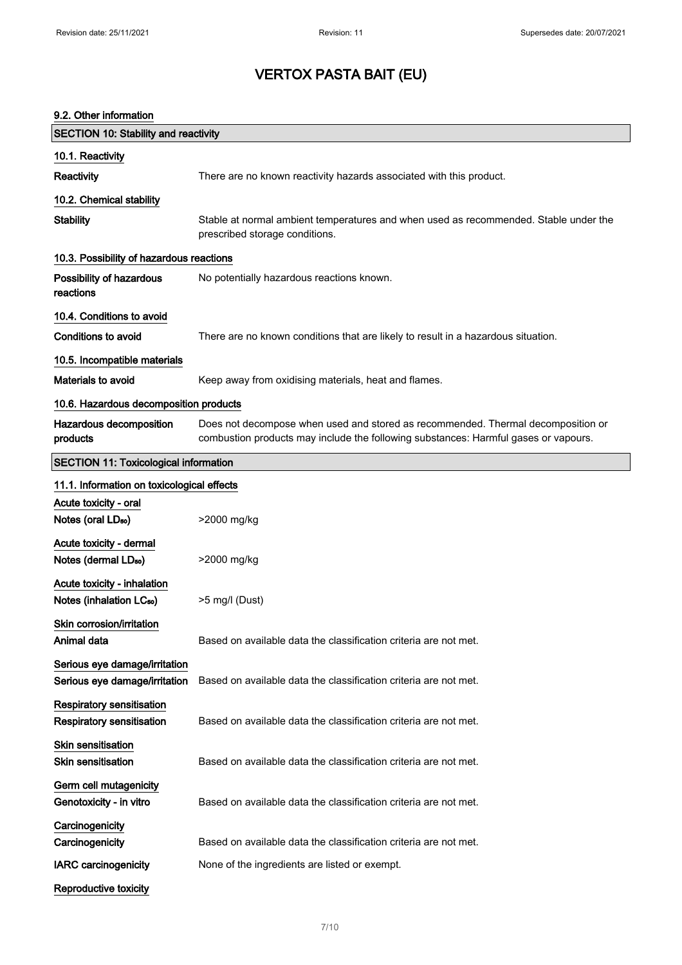#### 9.2. Other information

| <b>SECTION 10: Stability and reactivity</b>                          |                                                                                                                                                                         |
|----------------------------------------------------------------------|-------------------------------------------------------------------------------------------------------------------------------------------------------------------------|
| 10.1. Reactivity                                                     |                                                                                                                                                                         |
| Reactivity                                                           | There are no known reactivity hazards associated with this product.                                                                                                     |
| 10.2. Chemical stability                                             |                                                                                                                                                                         |
| <b>Stability</b>                                                     | Stable at normal ambient temperatures and when used as recommended. Stable under the<br>prescribed storage conditions.                                                  |
| 10.3. Possibility of hazardous reactions                             |                                                                                                                                                                         |
| Possibility of hazardous<br>reactions                                | No potentially hazardous reactions known.                                                                                                                               |
| 10.4. Conditions to avoid                                            |                                                                                                                                                                         |
| <b>Conditions to avoid</b>                                           | There are no known conditions that are likely to result in a hazardous situation.                                                                                       |
| 10.5. Incompatible materials                                         |                                                                                                                                                                         |
| <b>Materials to avoid</b>                                            | Keep away from oxidising materials, heat and flames.                                                                                                                    |
| 10.6. Hazardous decomposition products                               |                                                                                                                                                                         |
| Hazardous decomposition<br>products                                  | Does not decompose when used and stored as recommended. Thermal decomposition or<br>combustion products may include the following substances: Harmful gases or vapours. |
| <b>SECTION 11: Toxicological information</b>                         |                                                                                                                                                                         |
| 11.1. Information on toxicological effects                           |                                                                                                                                                                         |
| Acute toxicity - oral                                                |                                                                                                                                                                         |
| Notes (oral LD <sub>50</sub> )                                       | >2000 mg/kg                                                                                                                                                             |
| Acute toxicity - dermal<br>Notes (dermal LD <sub>50</sub> )          | >2000 mg/kg                                                                                                                                                             |
| Acute toxicity - inhalation<br>Notes (inhalation LC <sub>50</sub> )  | >5 mg/l (Dust)                                                                                                                                                          |
| Skin corrosion/irritation<br>Animal data                             | Based on available data the classification criteria are not met.                                                                                                        |
| Serious eye damage/irritation<br>Serious eye damage/irritation       | Based on available data the classification criteria are not met.                                                                                                        |
| <b>Respiratory sensitisation</b><br><b>Respiratory sensitisation</b> | Based on available data the classification criteria are not met.                                                                                                        |
| <b>Skin sensitisation</b><br><b>Skin sensitisation</b>               | Based on available data the classification criteria are not met.                                                                                                        |
| Germ cell mutagenicity<br>Genotoxicity - in vitro                    | Based on available data the classification criteria are not met.                                                                                                        |
| Carcinogenicity                                                      |                                                                                                                                                                         |
| Carcinogenicity                                                      | Based on available data the classification criteria are not met.                                                                                                        |
| <b>IARC</b> carcinogenicity                                          | None of the ingredients are listed or exempt.                                                                                                                           |
| Reproductive toxicity                                                |                                                                                                                                                                         |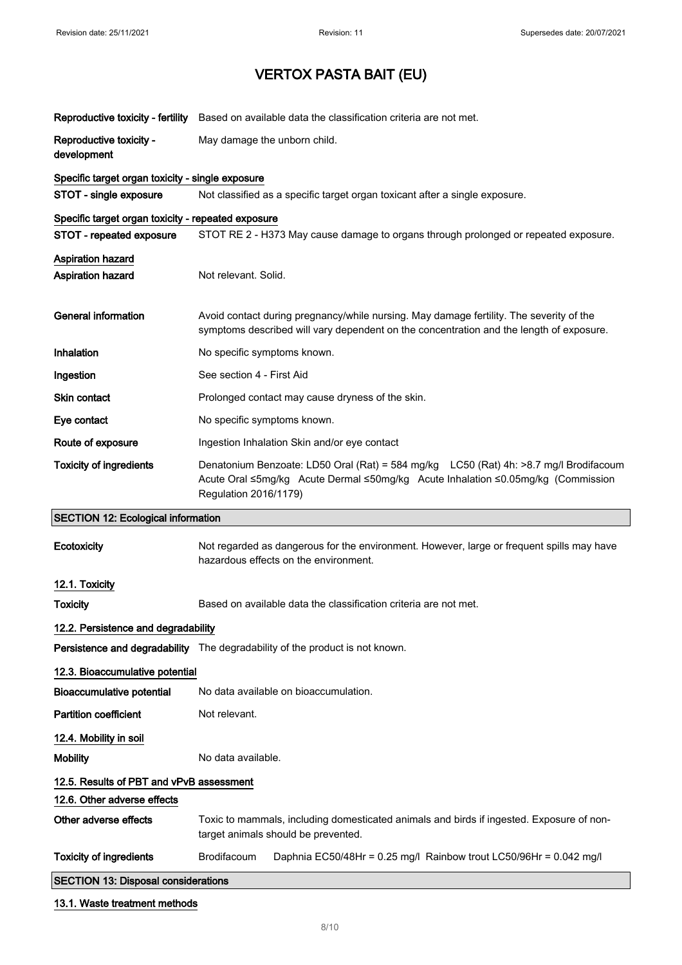|                                                                                | Reproductive toxicity - fertility Based on available data the classification criteria are not met.                                                                                                 |
|--------------------------------------------------------------------------------|----------------------------------------------------------------------------------------------------------------------------------------------------------------------------------------------------|
| Reproductive toxicity -<br>development                                         | May damage the unborn child.                                                                                                                                                                       |
| Specific target organ toxicity - single exposure                               |                                                                                                                                                                                                    |
| STOT - single exposure                                                         | Not classified as a specific target organ toxicant after a single exposure.                                                                                                                        |
| Specific target organ toxicity - repeated exposure<br>STOT - repeated exposure | STOT RE 2 - H373 May cause damage to organs through prolonged or repeated exposure.                                                                                                                |
| <b>Aspiration hazard</b><br><b>Aspiration hazard</b>                           | Not relevant. Solid.                                                                                                                                                                               |
| <b>General information</b>                                                     | Avoid contact during pregnancy/while nursing. May damage fertility. The severity of the<br>symptoms described will vary dependent on the concentration and the length of exposure.                 |
| Inhalation                                                                     | No specific symptoms known.                                                                                                                                                                        |
| Ingestion                                                                      | See section 4 - First Aid                                                                                                                                                                          |
| Skin contact                                                                   | Prolonged contact may cause dryness of the skin.                                                                                                                                                   |
| Eye contact                                                                    | No specific symptoms known.                                                                                                                                                                        |
| Route of exposure                                                              | Ingestion Inhalation Skin and/or eye contact                                                                                                                                                       |
| <b>Toxicity of ingredients</b>                                                 | Denatonium Benzoate: LD50 Oral (Rat) = 584 mg/kg LC50 (Rat) 4h: >8.7 mg/l Brodifacoum<br>Acute Oral ≤5mg/kg Acute Dermal ≤50mg/kg Acute Inhalation ≤0.05mg/kg (Commission<br>Regulation 2016/1179) |
|                                                                                |                                                                                                                                                                                                    |
| <b>SECTION 12: Ecological information</b>                                      |                                                                                                                                                                                                    |
| Ecotoxicity                                                                    | Not regarded as dangerous for the environment. However, large or frequent spills may have<br>hazardous effects on the environment.                                                                 |
| 12.1. Toxicity                                                                 |                                                                                                                                                                                                    |
| <b>Toxicity</b>                                                                | Based on available data the classification criteria are not met.                                                                                                                                   |
| 12.2. Persistence and degradability                                            |                                                                                                                                                                                                    |
|                                                                                | Persistence and degradability The degradability of the product is not known.                                                                                                                       |
| 12.3. Bioaccumulative potential                                                |                                                                                                                                                                                                    |
| Bioaccumulative potential                                                      | No data available on bioaccumulation.                                                                                                                                                              |
| <b>Partition coefficient</b>                                                   | Not relevant.                                                                                                                                                                                      |
| 12.4. Mobility in soil                                                         |                                                                                                                                                                                                    |
| <b>Mobility</b>                                                                | No data available.                                                                                                                                                                                 |
| 12.5. Results of PBT and vPvB assessment                                       |                                                                                                                                                                                                    |
| 12.6. Other adverse effects                                                    |                                                                                                                                                                                                    |
| Other adverse effects                                                          | Toxic to mammals, including domesticated animals and birds if ingested. Exposure of non-<br>target animals should be prevented.                                                                    |
| <b>Toxicity of ingredients</b>                                                 | <b>Brodifacoum</b><br>Daphnia EC50/48Hr = 0.25 mg/l Rainbow trout LC50/96Hr = 0.042 mg/l                                                                                                           |
| <b>SECTION 13: Disposal considerations</b>                                     |                                                                                                                                                                                                    |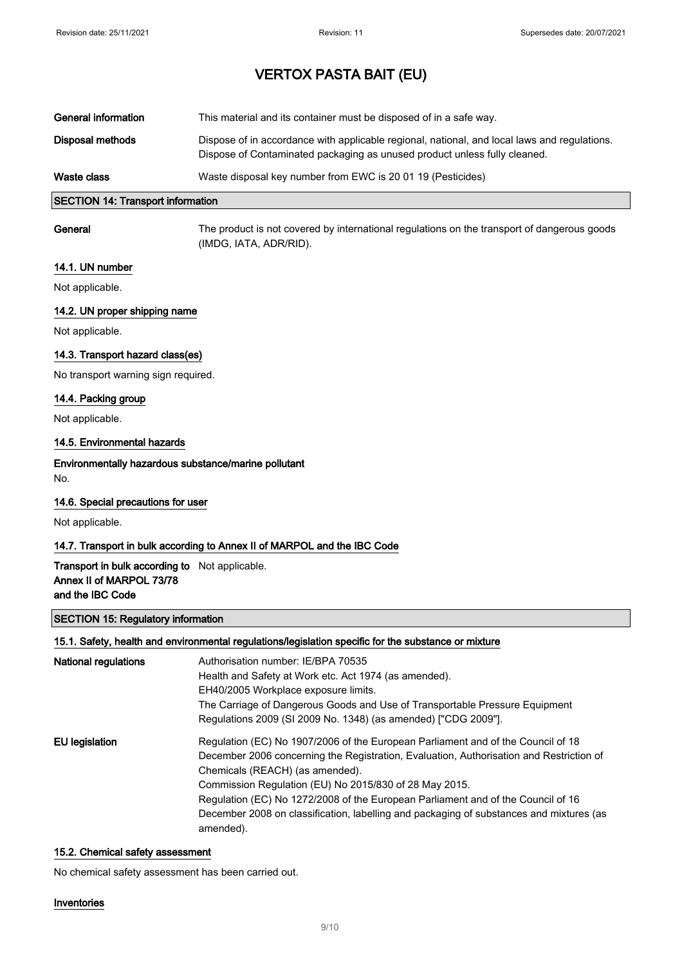| General information | This material and its container must be disposed of in a safe way.                                                                                                        |
|---------------------|---------------------------------------------------------------------------------------------------------------------------------------------------------------------------|
| Disposal methods    | Dispose of in accordance with applicable regional, national, and local laws and regulations.<br>Dispose of Contaminated packaging as unused product unless fully cleaned. |
| Waste class         | Waste disposal key number from EWC is 20 01 19 (Pesticides)                                                                                                               |

#### SECTION 14: Transport information

General The product is not covered by international regulations on the transport of dangerous goods (IMDG, IATA, ADR/RID).

#### 14.1. UN number

Not applicable.

#### 14.2. UN proper shipping name

Not applicable.

#### 14.3. Transport hazard class(es)

No transport warning sign required.

#### 14.4. Packing group

Not applicable.

#### 14.5. Environmental hazards

### Environmentally hazardous substance/marine pollutant

No.

#### 14.6. Special precautions for user

Not applicable.

#### 14.7. Transport in bulk according to Annex II of MARPOL and the IBC Code

#### Transport in bulk according to Not applicable. Annex II of MARPOL 73/78 and the IBC Code

#### SECTION 15: Regulatory information

#### 15.1. Safety, health and environmental regulations/legislation specific for the substance or mixture

| <b>National regulations</b> | Authorisation number: IE/BPA 70535<br>Health and Safety at Work etc. Act 1974 (as amended).<br>EH40/2005 Workplace exposure limits.<br>The Carriage of Dangerous Goods and Use of Transportable Pressure Equipment<br>Regulations 2009 (SI 2009 No. 1348) (as amended) ["CDG 2009"].                                                                                                                                                                                 |
|-----------------------------|----------------------------------------------------------------------------------------------------------------------------------------------------------------------------------------------------------------------------------------------------------------------------------------------------------------------------------------------------------------------------------------------------------------------------------------------------------------------|
| EU legislation              | Regulation (EC) No 1907/2006 of the European Parliament and of the Council of 18<br>December 2006 concerning the Registration, Evaluation, Authorisation and Restriction of<br>Chemicals (REACH) (as amended).<br>Commission Regulation (EU) No 2015/830 of 28 May 2015.<br>Regulation (EC) No 1272/2008 of the European Parliament and of the Council of 16<br>December 2008 on classification, labelling and packaging of substances and mixtures (as<br>amended). |

#### 15.2. Chemical safety assessment

No chemical safety assessment has been carried out.

#### Inventories